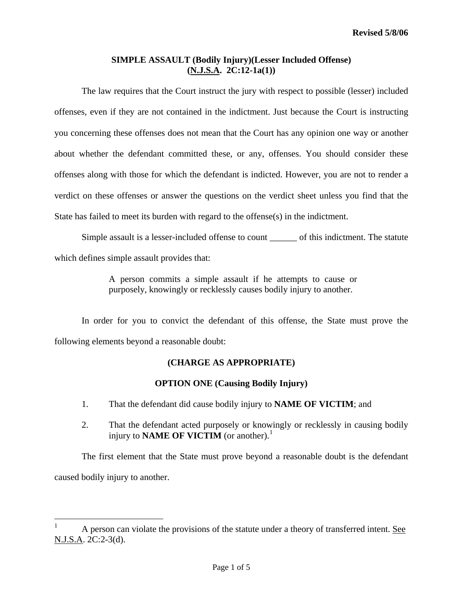# **SIMPLE ASSAULT (Bodily Injury)(Lesser Included Offense) (N.J.S.A. 2C:12-1a(1))**

 The law requires that the Court instruct the jury with respect to possible (lesser) included offenses, even if they are not contained in the indictment. Just because the Court is instructing you concerning these offenses does not mean that the Court has any opinion one way or another about whether the defendant committed these, or any, offenses. You should consider these offenses along with those for which the defendant is indicted. However, you are not to render a verdict on these offenses or answer the questions on the verdict sheet unless you find that the State has failed to meet its burden with regard to the offense(s) in the indictment.

Simple assault is a lesser-included offense to count \_\_\_\_\_\_ of this indictment. The statute which defines simple assault provides that:

> A person commits a simple assault if he attempts to cause or purposely, knowingly or recklessly causes bodily injury to another.

 In order for you to convict the defendant of this offense, the State must prove the following elements beyond a reasonable doubt:

# **(CHARGE AS APPROPRIATE)**

### **OPTION ONE (Causing Bodily Injury)**

- 1. That the defendant did cause bodily injury to **NAME OF VICTIM**; and
- 2. That the defendant acted purposely or knowingly or recklessly in causing bodily injury to **NAME OF VICTIM** (or another).<sup>[1](#page-0-0)</sup>

The first element that the State must prove beyond a reasonable doubt is the defendant caused bodily injury to another.

 $\overline{\phantom{0}}$ 

<span id="page-0-1"></span><span id="page-0-0"></span><sup>1</sup> A person can violate the provisions of the statute under a theory of transferred intent. See N.J.S.A. 2C:2-3(d).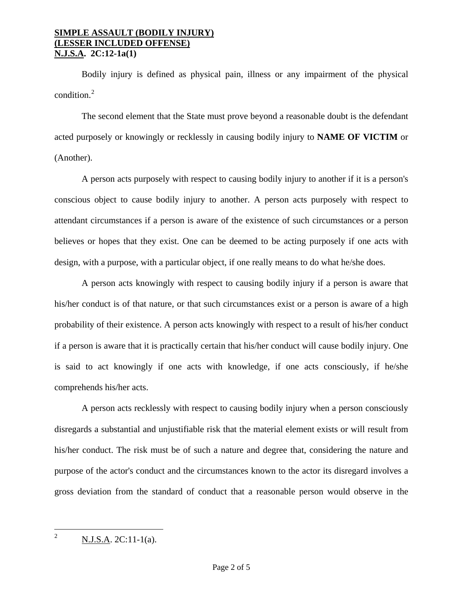Bodily injury is defined as physical pain, illness or any impairment of the physical condition. $^{2}$  $^{2}$  $^{2}$ 

The second element that the State must prove beyond a reasonable doubt is the defendant acted purposely or knowingly or recklessly in causing bodily injury to **NAME OF VICTIM** or (Another).

A person acts purposely with respect to causing bodily injury to another if it is a person's conscious object to cause bodily injury to another. A person acts purposely with respect to attendant circumstances if a person is aware of the existence of such circumstances or a person believes or hopes that they exist. One can be deemed to be acting purposely if one acts with design, with a purpose, with a particular object, if one really means to do what he/she does.

A person acts knowingly with respect to causing bodily injury if a person is aware that his/her conduct is of that nature, or that such circumstances exist or a person is aware of a high probability of their existence. A person acts knowingly with respect to a result of his/her conduct if a person is aware that it is practically certain that his/her conduct will cause bodily injury. One is said to act knowingly if one acts with knowledge, if one acts consciously, if he/she comprehends his/her acts.

A person acts recklessly with respect to causing bodily injury when a person consciously disregards a substantial and unjustifiable risk that the material element exists or will result from his/her conduct. The risk must be of such a nature and degree that, considering the nature and purpose of the actor's conduct and the circumstances known to the actor its disregard involves a gross deviation from the standard of conduct that a reasonable person would observe in the

<span id="page-1-0"></span> $\frac{1}{2}$ N.J.S.A. 2C:11-1(a).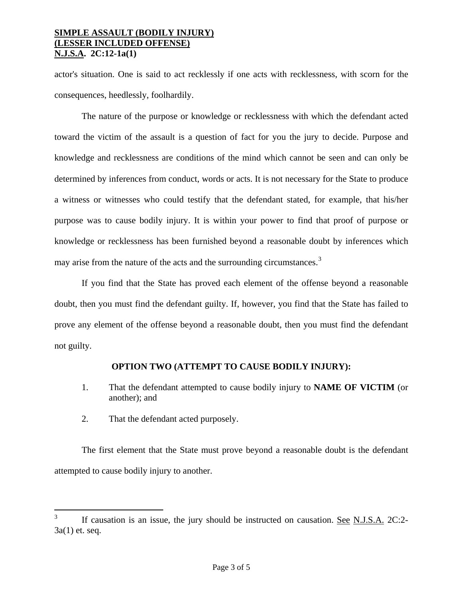actor's situation. One is said to act recklessly if one acts with recklessness, with scorn for the consequences, heedlessly, foolhardily.

The nature of the purpose or knowledge or recklessness with which the defendant acted toward the victim of the assault is a question of fact for you the jury to decide. Purpose and knowledge and recklessness are conditions of the mind which cannot be seen and can only be determined by inferences from conduct, words or acts. It is not necessary for the State to produce a witness or witnesses who could testify that the defendant stated, for example, that his/her purpose was to cause bodily injury. It is within your power to find that proof of purpose or knowledge or recklessness has been furnished beyond a reasonable doubt by inferences which may arise from the nature of the acts and the surrounding circumstances.<sup>[3](#page-1-0)</sup>

If you find that the State has proved each element of the offense beyond a reasonable doubt, then you must find the defendant guilty. If, however, you find that the State has failed to prove any element of the offense beyond a reasonable doubt, then you must find the defendant not guilty.

### **OPTION TWO (ATTEMPT TO CAUSE BODILY INJURY):**

- 1. That the defendant attempted to cause bodily injury to **NAME OF VICTIM** (or another); and
- 2. That the defendant acted purposely.

<span id="page-2-0"></span>The first element that the State must prove beyond a reasonable doubt is the defendant attempted to cause bodily injury to another.

 $3<sup>7</sup>$ If causation is an issue, the jury should be instructed on causation. <u>See N.J.S.A.</u> 2C:2-3a(1) et. seq.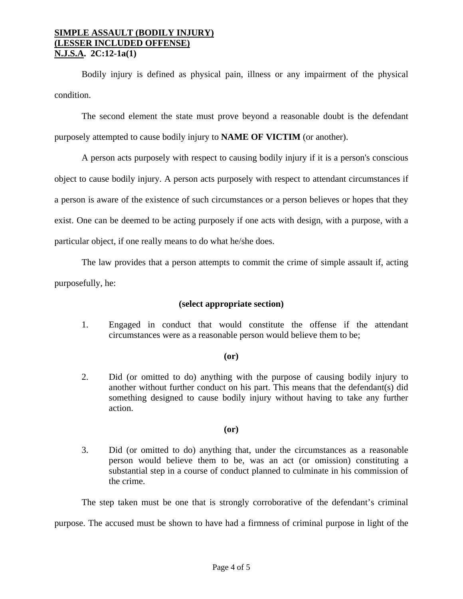Bodily injury is defined as physical pain, illness or any impairment of the physical condition.

The second element the state must prove beyond a reasonable doubt is the defendant purposely attempted to cause bodily injury to **NAME OF VICTIM** (or another).

A person acts purposely with respect to causing bodily injury if it is a person's conscious object to cause bodily injury. A person acts purposely with respect to attendant circumstances if a person is aware of the existence of such circumstances or a person believes or hopes that they exist. One can be deemed to be acting purposely if one acts with design, with a purpose, with a particular object, if one really means to do what he/she does.

The law provides that a person attempts to commit the crime of simple assault if, acting purposefully, he:

### **(select appropriate section)**

1. Engaged in conduct that would constitute the offense if the attendant circumstances were as a reasonable person would believe them to be;

### **(or)**

2. Did (or omitted to do) anything with the purpose of causing bodily injury to another without further conduct on his part. This means that the defendant(s) did something designed to cause bodily injury without having to take any further action.

# **(or)**

3. Did (or omitted to do) anything that, under the circumstances as a reasonable person would believe them to be, was an act (or omission) constituting a substantial step in a course of conduct planned to culminate in his commission of the crime.

The step taken must be one that is strongly corroborative of the defendant's criminal

purpose. The accused must be shown to have had a firmness of criminal purpose in light of the